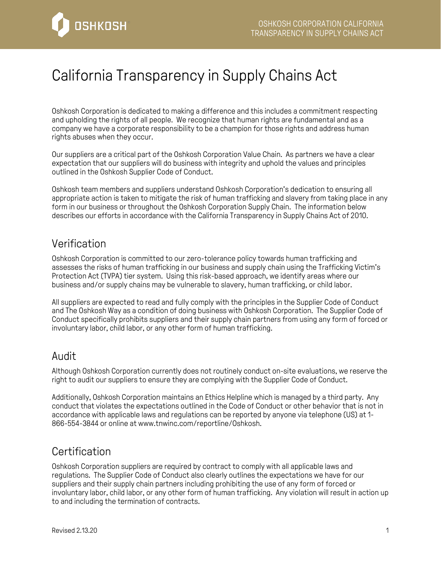

# California Transparency in Supply Chains Act

Oshkosh Corporation is dedicated to making a difference and this includes a commitment respecting and upholding the rights of all people. We recognize that human rights are fundamental and as a company we have a corporate responsibility to be a champion for those rights and address human rights abuses when they occur.

Our suppliers are a critical part of the Oshkosh Corporation Value Chain. As partners we have a clear expectation that our suppliers will do business with integrity and uphold the values and principles outlined in the Oshkosh Supplier Code of Conduct.

Oshkosh team members and suppliers understand Oshkosh Corporation's dedication to ensuring all appropriate action is taken to mitigate the risk of human trafficking and slavery from taking place in any form in our business or throughout the Oshkosh Corporation Supply Chain. The information below describes our efforts in accordance with the California Transparency in Supply Chains Act of 2010.

#### Verification

Oshkosh Corporation is committed to our zero-tolerance policy towards human trafficking and assesses the risks of human trafficking in our business and supply chain using the Trafficking Victim's Protection Act (TVPA) tier system. Using this risk-based approach, we identify areas where our business and/or supply chains may be vulnerable to slavery, human trafficking, or child labor.

All suppliers are expected to read and fully comply with the principles in the Supplier Code of Conduct and The Oshkosh Way as a condition of doing business with Oshkosh Corporation. The Supplier Code of Conduct specifically prohibits suppliers and their supply chain partners from using any form of forced or involuntary labor, child labor, or any other form of human trafficking.

#### Audit

Although Oshkosh Corporation currently does not routinely conduct on-site evaluations, we reserve the right to audit our suppliers to ensure they are complying with the Supplier Code of Conduct.

Additionally, Oshkosh Corporation maintains an Ethics Helpline which is managed by a third party. Any conduct that violates the expectations outlined in the Code of Conduct or other behavior that is not in accordance with applicable laws and regulations can be reported by anyone via telephone (US) at 1- 866-554-3844 or online at www.tnwinc.com/reportline/Oshkosh.

### **Certification**

Oshkosh Corporation suppliers are required by contract to comply with all applicable laws and regulations. The Supplier Code of Conduct also clearly outlines the expectations we have for our suppliers and their supply chain partners including prohibiting the use of any form of forced or involuntary labor, child labor, or any other form of human trafficking. Any violation will result in action up to and including the termination of contracts.